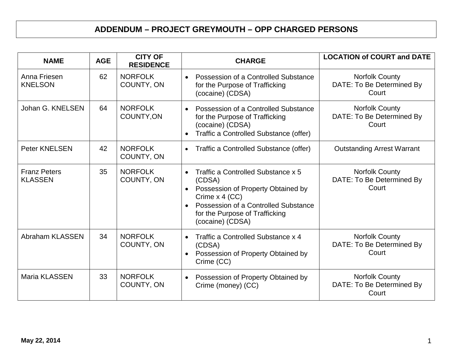## **ADDENDUM – PROJECT GREYMOUTH – OPP CHARGED PERSONS**

| <b>NAME</b>                           | <b>AGE</b> | <b>CITY OF</b><br><b>RESIDENCE</b> | <b>CHARGE</b>                                                                                                                                                                                                                             | <b>LOCATION of COURT and DATE</b>                           |
|---------------------------------------|------------|------------------------------------|-------------------------------------------------------------------------------------------------------------------------------------------------------------------------------------------------------------------------------------------|-------------------------------------------------------------|
| Anna Friesen<br><b>KNELSON</b>        | 62         | <b>NORFOLK</b><br>COUNTY, ON       | Possession of a Controlled Substance<br>$\bullet$<br>for the Purpose of Trafficking<br>(cocaine) (CDSA)                                                                                                                                   | <b>Norfolk County</b><br>DATE: To Be Determined By<br>Court |
| Johan G. KNELSEN                      | 64         | <b>NORFOLK</b><br>COUNTY, ON       | Possession of a Controlled Substance<br>$\bullet$<br>for the Purpose of Trafficking<br>(cocaine) (CDSA)<br>Traffic a Controlled Substance (offer)<br>$\bullet$                                                                            | Norfolk County<br>DATE: To Be Determined By<br>Court        |
| <b>Peter KNELSEN</b>                  | 42         | <b>NORFOLK</b><br>COUNTY, ON       | Traffic a Controlled Substance (offer)<br>$\bullet$                                                                                                                                                                                       | <b>Outstanding Arrest Warrant</b>                           |
| <b>Franz Peters</b><br><b>KLASSEN</b> | 35         | <b>NORFOLK</b><br>COUNTY, ON       | Traffic a Controlled Substance x 5<br>$\bullet$<br>(CDSA)<br>Possession of Property Obtained by<br>$\bullet$<br>Crime x 4 (CC)<br>Possession of a Controlled Substance<br>$\bullet$<br>for the Purpose of Trafficking<br>(cocaine) (CDSA) | <b>Norfolk County</b><br>DATE: To Be Determined By<br>Court |
| Abraham KLASSEN                       | 34         | <b>NORFOLK</b><br>COUNTY, ON       | Traffic a Controlled Substance x 4<br>$\bullet$<br>(CDSA)<br>Possession of Property Obtained by<br>$\bullet$<br>Crime (CC)                                                                                                                | Norfolk County<br>DATE: To Be Determined By<br>Court        |
| Maria KLASSEN                         | 33         | <b>NORFOLK</b><br>COUNTY, ON       | Possession of Property Obtained by<br>$\bullet$<br>Crime (money) (CC)                                                                                                                                                                     | Norfolk County<br>DATE: To Be Determined By<br>Court        |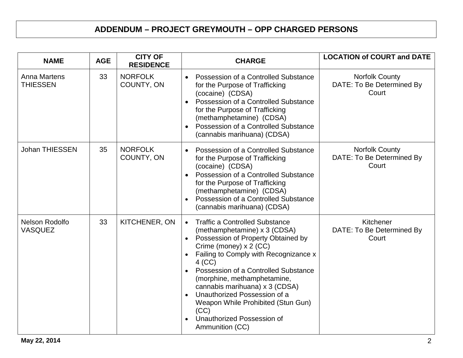## **ADDENDUM – PROJECT GREYMOUTH – OPP CHARGED PERSONS**

| <b>NAME</b>                            | <b>AGE</b> | <b>CITY OF</b><br><b>RESIDENCE</b> | <b>CHARGE</b>                                                                                                                                                                                                                                                                                                                                                                                                                                                             | <b>LOCATION of COURT and DATE</b>                           |
|----------------------------------------|------------|------------------------------------|---------------------------------------------------------------------------------------------------------------------------------------------------------------------------------------------------------------------------------------------------------------------------------------------------------------------------------------------------------------------------------------------------------------------------------------------------------------------------|-------------------------------------------------------------|
| <b>Anna Martens</b><br><b>THIESSEN</b> | 33         | <b>NORFOLK</b><br>COUNTY, ON       | Possession of a Controlled Substance<br>$\bullet$<br>for the Purpose of Trafficking<br>(cocaine) (CDSA)<br>Possession of a Controlled Substance<br>$\bullet$<br>for the Purpose of Trafficking<br>(methamphetamine) (CDSA)<br>Possession of a Controlled Substance<br>$\bullet$<br>(cannabis marihuana) (CDSA)                                                                                                                                                            | <b>Norfolk County</b><br>DATE: To Be Determined By<br>Court |
| <b>Johan THIESSEN</b>                  | 35         | <b>NORFOLK</b><br>COUNTY, ON       | Possession of a Controlled Substance<br>$\bullet$<br>for the Purpose of Trafficking<br>(cocaine) (CDSA)<br>Possession of a Controlled Substance<br>$\bullet$<br>for the Purpose of Trafficking<br>(methamphetamine) (CDSA)<br>Possession of a Controlled Substance<br>$\bullet$<br>(cannabis marihuana) (CDSA)                                                                                                                                                            | <b>Norfolk County</b><br>DATE: To Be Determined By<br>Court |
| Nelson Rodolfo<br><b>VASQUEZ</b>       | 33         | KITCHENER, ON                      | <b>Traffic a Controlled Substance</b><br>$\bullet$<br>(methamphetamine) x 3 (CDSA)<br>Possession of Property Obtained by<br>$\bullet$<br>Crime (money) x 2 (CC)<br>Failing to Comply with Recognizance x<br>$4$ (CC)<br>Possession of a Controlled Substance<br>$\bullet$<br>(morphine, methamphetamine,<br>cannabis marihuana) x 3 (CDSA)<br>Unauthorized Possession of a<br>Weapon While Prohibited (Stun Gun)<br>(CC)<br>Unauthorized Possession of<br>Ammunition (CC) | Kitchener<br>DATE: To Be Determined By<br>Court             |